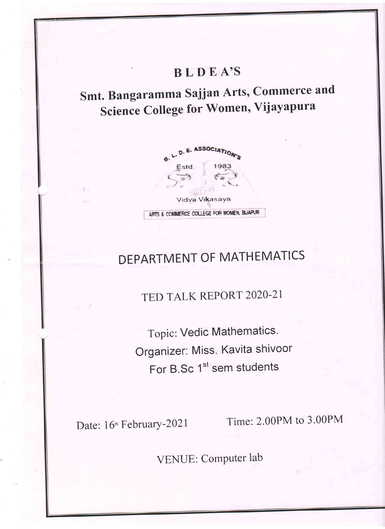# **BLDEA'S**

Smt. Bangaramma Sajjan Arts, Commerce and Science College for Women, Vijayapura



# DEPARTMENT OF MATHEMATICS

TED TALK REPORT 2020-21

Topic: Vedic Mathematics. Organizer: Miss. Kavita shivoor For B.Sc 1<sup>st</sup> sem students

Date: 16<sup>th</sup> February-2021

Time: 2.00PM to 3.00PM

VENUE: Computer lab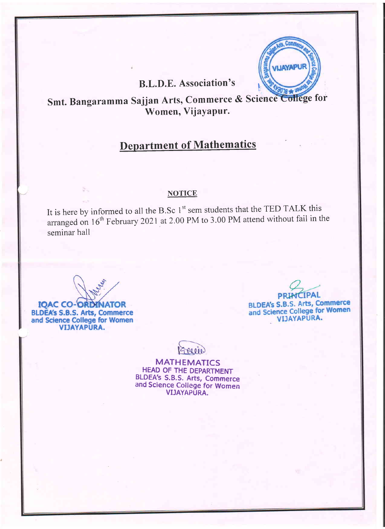### B.L.D.E. Association's

### Smt. Bangaramma Sajjan Arts, Commerce & Science College for Women, Vijayapur.

### Department of Mathematics

#### **NOTICE**

It is here by informed to all the B.Sc  $1<sup>st</sup>$  sem students that the TED TALK this arranged on  $16<sup>th</sup>$  February 2021 at 2.00 PM to 3.00 PM attend without fail in the seminar hall

**IOAC CO-ORDINATOR** BLDEA's S.B.S. Arts, Commerce and Science College for Women **VIJAYAPURA.** 

**PRINCIPAL** BLDEA's S.B.S. Arts, Commerce BLDEA's S.B.S. Arts, Commerce<br>and Science College for Women<br>VIJAYAPURA.



MATHEMATICS HEAD OF THE DEPARTMENT BLDEA's S.B.S. Arts, Commerce and Science College for Women VIJAYAPURA.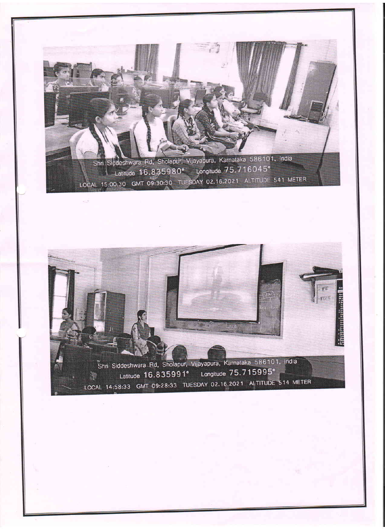Shri Siddeshwara Rd, Sholapur, Vijayapura, Karnataka 586101, India Latitude 16.835980° Longitude 75.716045° LOCAL 15:00:30 GMT 09:30:30 TUESDAY 02.16.2021 ALTITUDE 541 METER

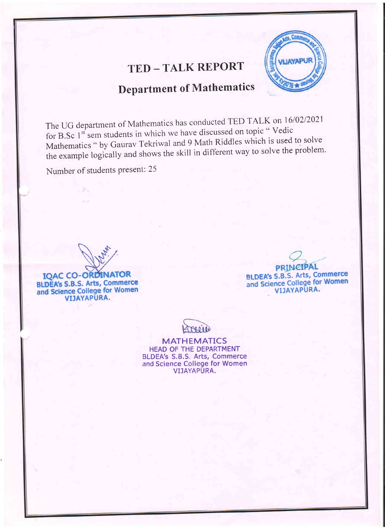## **TED-TALK REPORT**



# **Department of Mathematics**

The UG department of Mathematics has conducted TED TALK on 16/02/2021 for B.Sc 1<sup>st</sup> sem students in which we have discussed on topic "Vedic Mathematics " by Gaurav Tekriwal and 9 Math Riddles which is used to solve the example logically and shows the skill in different way to solve the problem.

Number of students present: 25

**IQAC CO-ORDINATOR BLDEA's S.B.S. Arts, Commerce** and Science College for Women VIJAYAPURA.

**PRINCIPAL BLDEA's S.B.S. Arts, Commerce**<br>and Science College for Women

VIJAYAPURA.

**MATHEMATICS** HEAD OF THE DEPARTMENT **BLDEA's S.B.S. Arts, Commerce**<br>and Science College for Women VIJAYAPURA.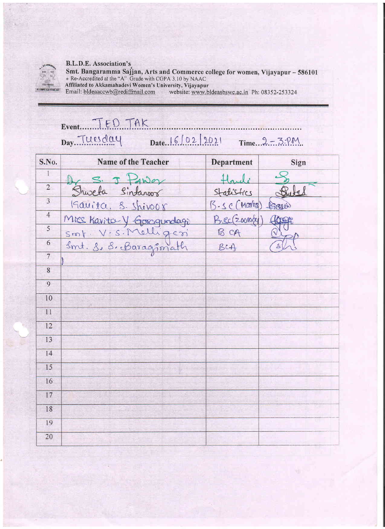

#### B.L.D.E. Association's

Smt. Bangaramma Sajjan, Arts and Commerce college for women, Vijayapur – 586101<br>
Re-Accredited at the "A" Grade with CGPA 3.10 by NAAC<br>
Affiliated to Akkamahadevi Women's University, Vijayapur<br>
Email: bldeaaccwb@rediffmail

| Event. TED TAK<br>Date. $6102$ $2021$ Time. $2 - 3.7M$<br>Day Tuesday |                                                                           |                   |       |  |  |  |
|-----------------------------------------------------------------------|---------------------------------------------------------------------------|-------------------|-------|--|--|--|
| S.No.                                                                 | <b>Name of the Teacher</b>                                                | <b>Department</b> | Sign  |  |  |  |
| $\mathbf{1}$                                                          | S. J Hw                                                                   |                   |       |  |  |  |
| $\overline{2}$                                                        | Shwela Sintaroor                                                          | Statistics        | Puta  |  |  |  |
| $\overline{3}$                                                        | Kavita, S. Shivoor                                                        | B.sc(Mooths)      | Saui  |  |  |  |
| $\overline{4}$                                                        |                                                                           | B.ec (20010g)     | HORSE |  |  |  |
| 5                                                                     |                                                                           | B CA              |       |  |  |  |
| $\sqrt{6}$                                                            | Mice Kavita Y Googundagi<br>Smt. V. S. Melligeri<br>Smt. 8, 8, Baragimath | BcA               |       |  |  |  |
| $\overline{7}$                                                        |                                                                           |                   |       |  |  |  |
| 8                                                                     |                                                                           |                   |       |  |  |  |
| $\overline{9}$                                                        |                                                                           |                   |       |  |  |  |
| 10                                                                    |                                                                           |                   |       |  |  |  |
| 11                                                                    |                                                                           |                   |       |  |  |  |
| 12                                                                    |                                                                           |                   |       |  |  |  |
| 13                                                                    |                                                                           |                   |       |  |  |  |
| 14                                                                    |                                                                           |                   |       |  |  |  |
| 15                                                                    |                                                                           |                   |       |  |  |  |
| 16                                                                    |                                                                           |                   |       |  |  |  |
| 17                                                                    |                                                                           |                   |       |  |  |  |
| 18                                                                    |                                                                           |                   |       |  |  |  |
| 19                                                                    |                                                                           |                   |       |  |  |  |
| $20\,$                                                                |                                                                           |                   |       |  |  |  |